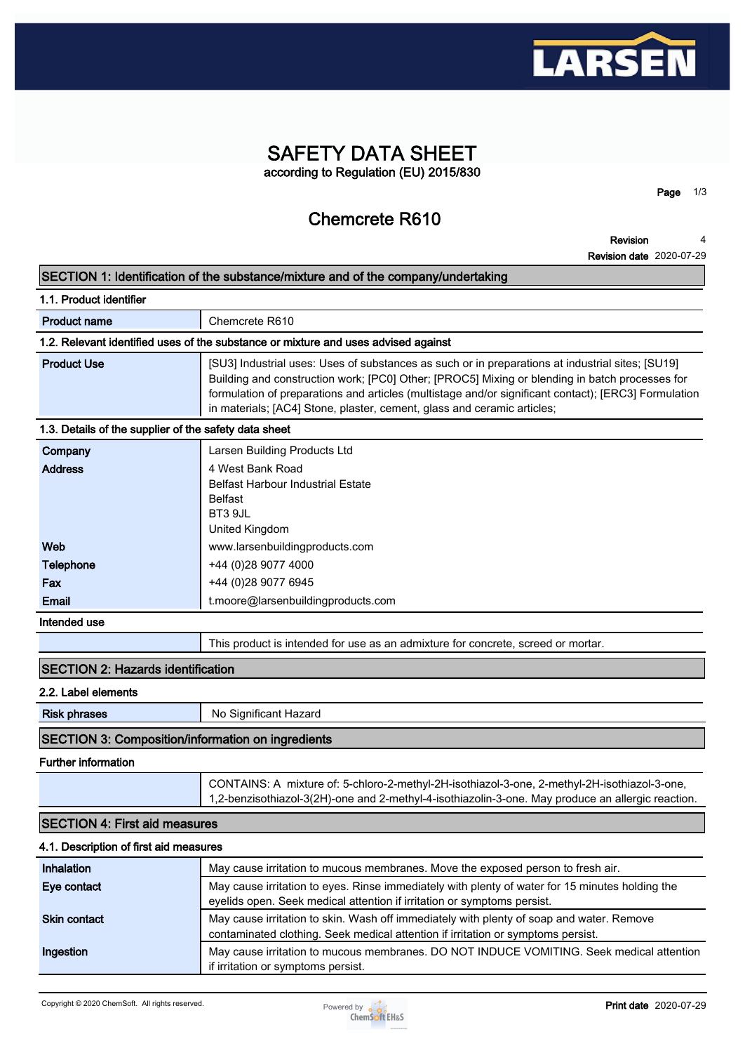

## **SAFETY DATA SHEET according to Regulation (EU) 2015/830**

**Chemcrete R610**

**Revision 4**

**Page 1/3**

|                                                          | <b>Revision date 2020-07-29</b>                                                                                                                                                                                                                                                                                                                                                       |
|----------------------------------------------------------|---------------------------------------------------------------------------------------------------------------------------------------------------------------------------------------------------------------------------------------------------------------------------------------------------------------------------------------------------------------------------------------|
|                                                          | SECTION 1: Identification of the substance/mixture and of the company/undertaking                                                                                                                                                                                                                                                                                                     |
| 1.1. Product identifier                                  |                                                                                                                                                                                                                                                                                                                                                                                       |
| <b>Product name</b>                                      | Chemcrete R610                                                                                                                                                                                                                                                                                                                                                                        |
|                                                          | 1.2. Relevant identified uses of the substance or mixture and uses advised against                                                                                                                                                                                                                                                                                                    |
| <b>Product Use</b>                                       | [SU3] Industrial uses: Uses of substances as such or in preparations at industrial sites; [SU19]<br>Building and construction work; [PC0] Other; [PROC5] Mixing or blending in batch processes for<br>formulation of preparations and articles (multistage and/or significant contact); [ERC3] Formulation<br>in materials; [AC4] Stone, plaster, cement, glass and ceramic articles; |
| 1.3. Details of the supplier of the safety data sheet    |                                                                                                                                                                                                                                                                                                                                                                                       |
| Company<br><b>Address</b>                                | Larsen Building Products Ltd<br>4 West Bank Road<br>Belfast Harbour Industrial Estate<br><b>Belfast</b><br>BT3 9JL<br>United Kingdom                                                                                                                                                                                                                                                  |
| Web                                                      | www.larsenbuildingproducts.com                                                                                                                                                                                                                                                                                                                                                        |
| Telephone                                                | +44 (0)28 9077 4000                                                                                                                                                                                                                                                                                                                                                                   |
| Fax                                                      | +44 (0)28 9077 6945                                                                                                                                                                                                                                                                                                                                                                   |
| Email                                                    | t.moore@larsenbuildingproducts.com                                                                                                                                                                                                                                                                                                                                                    |
| Intended use                                             |                                                                                                                                                                                                                                                                                                                                                                                       |
|                                                          | This product is intended for use as an admixture for concrete, screed or mortar.                                                                                                                                                                                                                                                                                                      |
| <b>SECTION 2: Hazards identification</b>                 |                                                                                                                                                                                                                                                                                                                                                                                       |
| 2.2. Label elements                                      |                                                                                                                                                                                                                                                                                                                                                                                       |
| <b>Risk phrases</b>                                      | No Significant Hazard                                                                                                                                                                                                                                                                                                                                                                 |
| <b>SECTION 3: Composition/information on ingredients</b> |                                                                                                                                                                                                                                                                                                                                                                                       |
| <b>Further information</b>                               |                                                                                                                                                                                                                                                                                                                                                                                       |
|                                                          | CONTAINS: A mixture of: 5-chloro-2-methyl-2H-isothiazol-3-one, 2-methyl-2H-isothiazol-3-one,<br>1,2-benzisothiazol-3(2H)-one and 2-methyl-4-isothiazolin-3-one. May produce an allergic reaction.                                                                                                                                                                                     |
| <b>SECTION 4: First aid measures</b>                     |                                                                                                                                                                                                                                                                                                                                                                                       |
| 4.1. Description of first aid measures                   |                                                                                                                                                                                                                                                                                                                                                                                       |
| Inhalation                                               | May cause irritation to mucous membranes. Move the exposed person to fresh air.                                                                                                                                                                                                                                                                                                       |
| Eye contact                                              | May cause irritation to eyes. Rinse immediately with plenty of water for 15 minutes holding the<br>eyelids open. Seek medical attention if irritation or symptoms persist.                                                                                                                                                                                                            |
| <b>Skin contact</b>                                      | May cause irritation to skin. Wash off immediately with plenty of soap and water. Remove<br>contaminated clothing. Seek medical attention if irritation or symptoms persist.                                                                                                                                                                                                          |
| Ingestion                                                | May cause irritation to mucous membranes. DO NOT INDUCE VOMITING. Seek medical attention<br>if irritation or symptoms persist.                                                                                                                                                                                                                                                        |

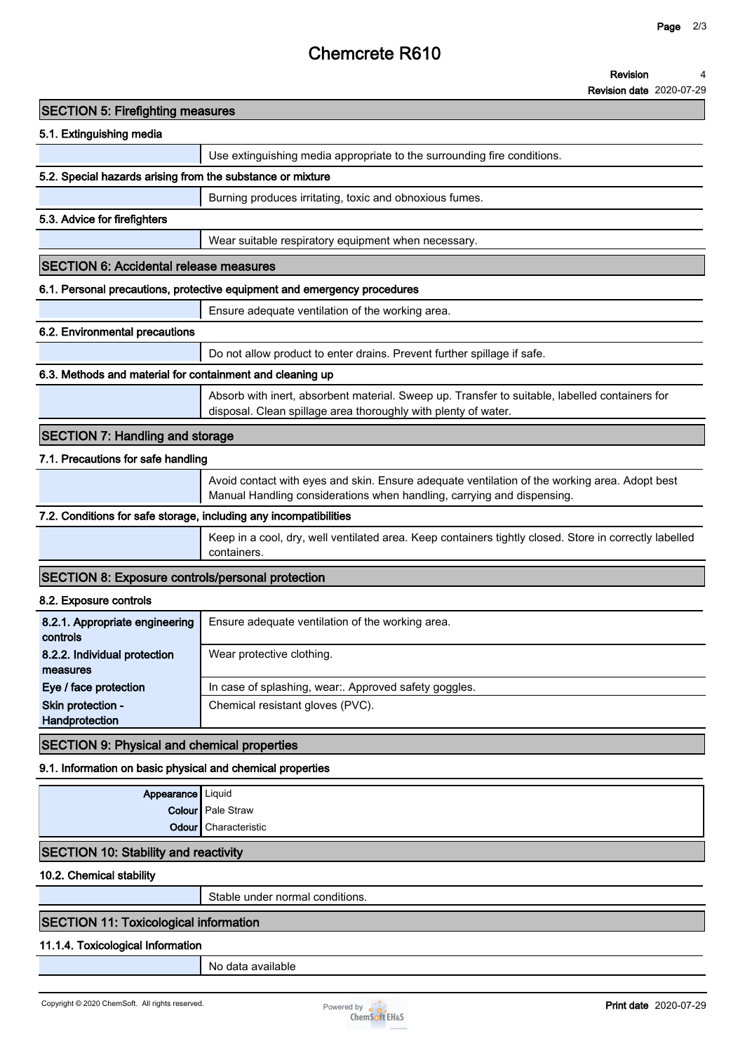# **Chemcrete R610**

**Revision date 2020-07-29**

| <b>SECTION 5: Firefighting measures</b>                           |                                                                                                                                                                         |
|-------------------------------------------------------------------|-------------------------------------------------------------------------------------------------------------------------------------------------------------------------|
| 5.1. Extinguishing media                                          |                                                                                                                                                                         |
|                                                                   | Use extinguishing media appropriate to the surrounding fire conditions.                                                                                                 |
| 5.2. Special hazards arising from the substance or mixture        |                                                                                                                                                                         |
|                                                                   | Burning produces irritating, toxic and obnoxious fumes.                                                                                                                 |
| 5.3. Advice for firefighters                                      |                                                                                                                                                                         |
|                                                                   | Wear suitable respiratory equipment when necessary.                                                                                                                     |
| <b>SECTION 6: Accidental release measures</b>                     |                                                                                                                                                                         |
|                                                                   | 6.1. Personal precautions, protective equipment and emergency procedures                                                                                                |
|                                                                   | Ensure adequate ventilation of the working area.                                                                                                                        |
| 6.2. Environmental precautions                                    |                                                                                                                                                                         |
|                                                                   | Do not allow product to enter drains. Prevent further spillage if safe.                                                                                                 |
| 6.3. Methods and material for containment and cleaning up         |                                                                                                                                                                         |
|                                                                   | Absorb with inert, absorbent material. Sweep up. Transfer to suitable, labelled containers for<br>disposal. Clean spillage area thoroughly with plenty of water.        |
| <b>SECTION 7: Handling and storage</b>                            |                                                                                                                                                                         |
| 7.1. Precautions for safe handling                                |                                                                                                                                                                         |
|                                                                   | Avoid contact with eyes and skin. Ensure adequate ventilation of the working area. Adopt best<br>Manual Handling considerations when handling, carrying and dispensing. |
| 7.2. Conditions for safe storage, including any incompatibilities |                                                                                                                                                                         |
|                                                                   | Keep in a cool, dry, well ventilated area. Keep containers tightly closed. Store in correctly labelled<br>containers.                                                   |
| <b>SECTION 8: Exposure controls/personal protection</b>           |                                                                                                                                                                         |
| 8.2. Exposure controls                                            |                                                                                                                                                                         |
| 8.2.1. Appropriate engineering<br>controls                        | Ensure adequate ventilation of the working area.                                                                                                                        |
| 8.2.2. Individual protection<br>measures                          | Wear protective clothing.                                                                                                                                               |
| Eye / face protection                                             | In case of splashing, wear:. Approved safety goggles.                                                                                                                   |
| Skin protection -<br>Handprotection                               | Chemical resistant gloves (PVC).                                                                                                                                        |
| <b>SECTION 9: Physical and chemical properties</b>                |                                                                                                                                                                         |
| 9.1. Information on basic physical and chemical properties        |                                                                                                                                                                         |
| Appearance   Liquid                                               |                                                                                                                                                                         |
|                                                                   | <b>Colour</b> Pale Straw                                                                                                                                                |
| Odour l                                                           | Characteristic                                                                                                                                                          |
| <b>SECTION 10: Stability and reactivity</b>                       |                                                                                                                                                                         |
| 10.2. Chemical stability                                          |                                                                                                                                                                         |
|                                                                   | Stable under normal conditions.                                                                                                                                         |
| <b>SECTION 11: Toxicological information</b>                      |                                                                                                                                                                         |
| 11.1.4. Toxicological Information                                 |                                                                                                                                                                         |
|                                                                   | No data available                                                                                                                                                       |